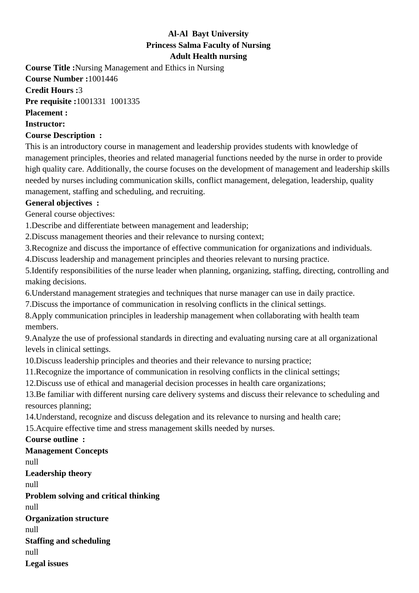# **Al-Al Bayt University Princess Salma Faculty of Nursing Adult Health nursing**

**Course Title :**Nursing Management and Ethics in Nursing

**Course Number :**1001446

**Credit Hours :**3

**Pre requisite :**1001331 1001335

**Placement :**

**Instructor:**

### **Course Description :**

This is an introductory course in management and leadership provides students with knowledge of management principles, theories and related managerial functions needed by the nurse in order to provide high quality care. Additionally, the course focuses on the development of management and leadership skills needed by nurses including communication skills, conflict management, delegation, leadership, quality management, staffing and scheduling, and recruiting.

## **General objectives :**

General course objectives:

1. Describe and differentiate between management and leadership;

2. Discuss management theories and their relevance to nursing context:

3. Recognize and discuss the importance of effective communication for organizations and individuals.

4. Discuss leadership and management principles and theories relevant to nursing practice.

5. Identify responsibilities of the nurse leader when planning, organizing, staffing, directing, controlling and making decisions.

6. Understand management strategies and techniques that nurse manager can use in daily practice.

7. Discuss the importance of communication in resolving conflicts in the clinical settings.

8. Apply communication principles in leadership management when collaborating with health team members.

9. Analyze the use of professional standards in directing and evaluating nursing care at all organizational levels in clinical settings.

10. Discuss leadership principles and theories and their relevance to nursing practice;

11. Recognize the importance of communication in resolving conflicts in the clinical settings;

12. Discuss use of ethical and managerial decision processes in health care organizations;

13. Be familiar with different nursing care delivery systems and discuss their relevance to scheduling and resources planning;

14. Understand, recognize and discuss delegation and its relevance to nursing and health care;

15. Acquire effective time and stress management skills needed by nurses.

## **Course outline :**

### **Management Concepts**

null

**Leadership theory**

null

**Problem solving and critical thinking** null **Organization structure** null **Staffing and scheduling** null **Legal issues**